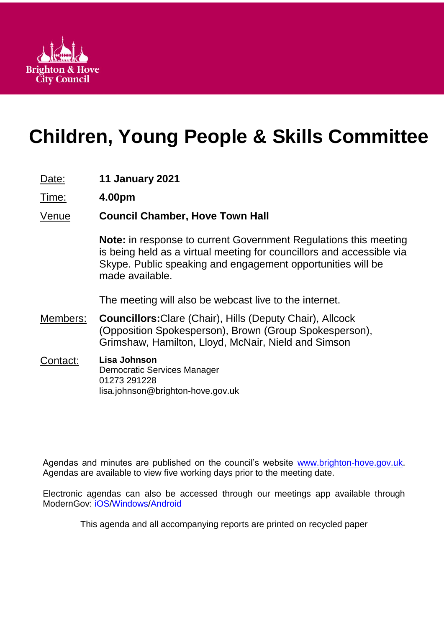

# **Children, Young People & Skills Committee**

- Date: **11 January 2021**
- Time: **4.00pm**

# Venue **Council Chamber, Hove Town Hall**

**Note:** in response to current Government Regulations this meeting is being held as a virtual meeting for councillors and accessible via Skype. Public speaking and engagement opportunities will be made available.

The meeting will also be webcast live to the internet.

- Members: **Councillors:**Clare (Chair), Hills (Deputy Chair), Allcock (Opposition Spokesperson), Brown (Group Spokesperson), Grimshaw, Hamilton, Lloyd, McNair, Nield and Simson
- Contact: **Lisa Johnson** Democratic Services Manager 01273 291228 lisa.johnson@brighton-hove.gov.uk

Agendas and minutes are published on the council's website [www.brighton-hove.gov.uk.](http://www.brighton-hove.gov.uk/) Agendas are available to view five working days prior to the meeting date.

Electronic agendas can also be accessed through our meetings app available through ModernGov: [iOS](https://play.google.com/store/apps/details?id=uk.co.moderngov.modgov&hl=en_GB)[/Windows/](https://www.microsoft.com/en-gb/p/modgov/9nblggh0c7s7#activetab=pivot:overviewtab)[Android](https://play.google.com/store/apps/details?id=uk.co.moderngov.modgov&hl=en_GB)

This agenda and all accompanying reports are printed on recycled paper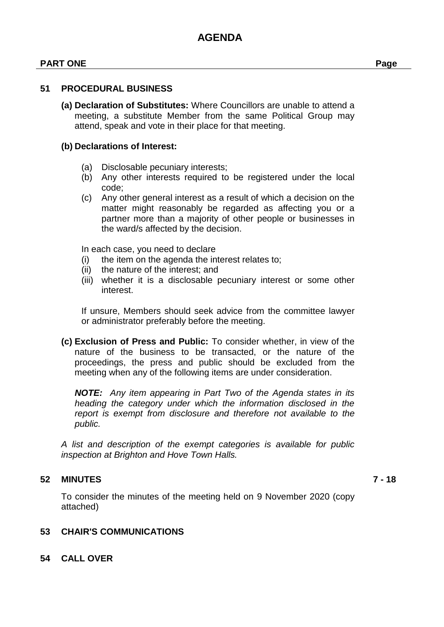## **PART ONE Page**

#### **51 PROCEDURAL BUSINESS**

**(a) Declaration of Substitutes:** Where Councillors are unable to attend a meeting, a substitute Member from the same Political Group may attend, speak and vote in their place for that meeting.

#### **(b) Declarations of Interest:**

- (a) Disclosable pecuniary interests;
- (b) Any other interests required to be registered under the local code;
- (c) Any other general interest as a result of which a decision on the matter might reasonably be regarded as affecting you or a partner more than a majority of other people or businesses in the ward/s affected by the decision.

In each case, you need to declare

- (i) the item on the agenda the interest relates to;
- (ii) the nature of the interest; and
- (iii) whether it is a disclosable pecuniary interest or some other interest.

If unsure, Members should seek advice from the committee lawyer or administrator preferably before the meeting.

**(c) Exclusion of Press and Public:** To consider whether, in view of the nature of the business to be transacted, or the nature of the proceedings, the press and public should be excluded from the meeting when any of the following items are under consideration.

*NOTE: Any item appearing in Part Two of the Agenda states in its heading the category under which the information disclosed in the report is exempt from disclosure and therefore not available to the public.*

*A list and description of the exempt categories is available for public inspection at Brighton and Hove Town Halls.*

# **52 MINUTES 7 - 18**

To consider the minutes of the meeting held on 9 November 2020 (copy attached)

# **53 CHAIR'S COMMUNICATIONS**

**54 CALL OVER**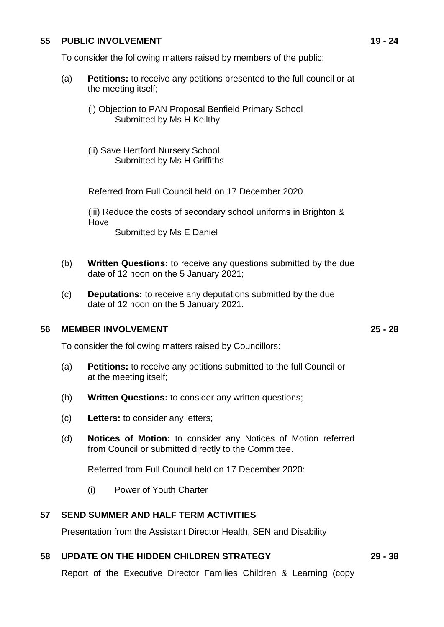#### **55 PUBLIC INVOLVEMENT 19 - 24**

- (a) **Petitions:** to receive any petitions presented to the full council or at the meeting itself;
	- (i) Objection to PAN Proposal Benfield Primary School Submitted by Ms H Keilthy
	- (ii) Save Hertford Nursery School Submitted by Ms H Griffiths

#### Referred from Full Council held on 17 December 2020

(iii) Reduce the costs of secondary school uniforms in Brighton & Hove Submitted by Ms E Daniel

- (b) **Written Questions:** to receive any questions submitted by the due date of 12 noon on the 5 January 2021;
- (c) **Deputations:** to receive any deputations submitted by the due date of 12 noon on the 5 January 2021.

#### **56 MEMBER INVOLVEMENT 25 - 28**

To consider the following matters raised by Councillors:

- (a) **Petitions:** to receive any petitions submitted to the full Council or at the meeting itself;
- (b) **Written Questions:** to consider any written questions;
- (c) **Letters:** to consider any letters;
- (d) **Notices of Motion:** to consider any Notices of Motion referred from Council or submitted directly to the Committee.

Referred from Full Council held on 17 December 2020:

(i) Power of Youth Charter

#### **57 SEND SUMMER AND HALF TERM ACTIVITIES**

Presentation from the Assistant Director Health, SEN and Disability

#### **58 UPDATE ON THE HIDDEN CHILDREN STRATEGY 29 - 38**

Report of the Executive Director Families Children & Learning (copy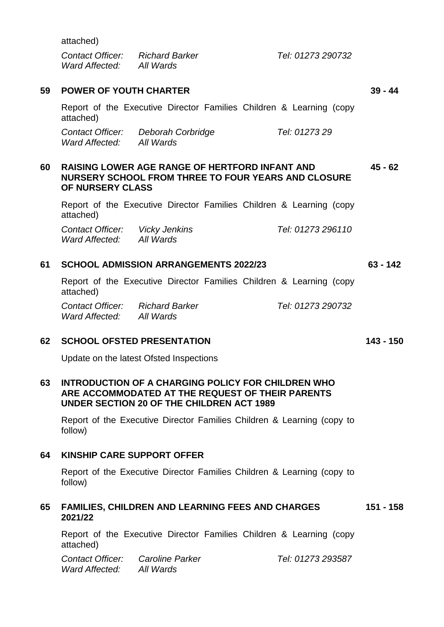attached)

| Contact Officer: | <b>Richard Barker</b> |
|------------------|-----------------------|
| Ward Affected:   | All Wards             |

|    | attached)                                                                                                                               |                      |  |                                                                     |           |
|----|-----------------------------------------------------------------------------------------------------------------------------------------|----------------------|--|---------------------------------------------------------------------|-----------|
|    | <b>Contact Officer:</b><br>Ward Affected: All Wards                                                                                     | Deborah Corbridge    |  | Tel: 01273 29                                                       |           |
| 60 | <b>RAISING LOWER AGE RANGE OF HERTFORD INFANT AND</b><br><b>NURSERY SCHOOL FROM THREE TO FOUR YEARS AND CLOSURE</b><br>OF NURSERY CLASS |                      |  |                                                                     | $45 - 62$ |
|    | attached)                                                                                                                               |                      |  | Report of the Executive Director Families Children & Learning (copy |           |
|    | Contact Officer:<br>Ward Affected: All Wards                                                                                            | <b>Vicky Jenkins</b> |  | Tel: 01273 296110                                                   |           |
| 61 | <b>SCHOOL ADMISSION ARRANGEMENTS 2022/23</b>                                                                                            |                      |  | 63 - 142                                                            |           |
|    |                                                                                                                                         |                      |  | Report of the Executive Director Families Children & Learning (copy |           |

Report of the Executive Director Families Children & Learning (copy

attached)

*Contact Officer: Richard Barker Tel: 01273 290732 Ward Affected: All Wards*

#### **62 SCHOOL OFSTED PRESENTATION 143 - 150**

Update on the latest Ofsted Inspections

#### **63 INTRODUCTION OF A CHARGING POLICY FOR CHILDREN WHO ARE ACCOMMODATED AT THE REQUEST OF THEIR PARENTS UNDER SECTION 20 OF THE CHILDREN ACT 1989**

Report of the Executive Director Families Children & Learning (copy to follow)

# **64 KINSHIP CARE SUPPORT OFFER**

Report of the Executive Director Families Children & Learning (copy to follow)

#### **65 FAMILIES, CHILDREN AND LEARNING FEES AND CHARGES 2021/22 151 - 158**

Report of the Executive Director Families Children & Learning (copy attached)

*Contact Officer: Caroline Parker Tel: 01273 293587 Ward Affected: All Wards*

**59 POWER OF YOUTH CHARTER 39 - 44**

*Contact Officer: Richard Barker Tel: 01273 290732*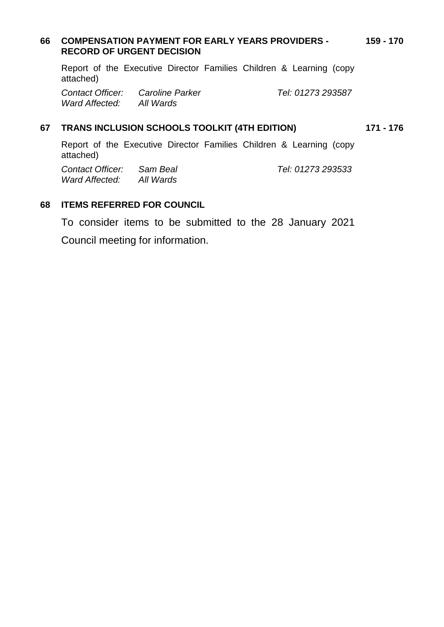#### **66 COMPENSATION PAYMENT FOR EARLY YEARS PROVIDERS - RECORD OF URGENT DECISION 159 - 170**

Report of the Executive Director Families Children & Learning (copy attached)

*Contact Officer: Caroline Parker Tel: 01273 293587 Ward Affected: All Wards*

## **67 TRANS INCLUSION SCHOOLS TOOLKIT (4TH EDITION) 171 - 176**

Report of the Executive Director Families Children & Learning (copy attached)

*Contact Officer: Sam Beal Tel: 01273 293533 Ward Affected: All Wards*

# **68 ITEMS REFERRED FOR COUNCIL**

To consider items to be submitted to the 28 January 2021 Council meeting for information.